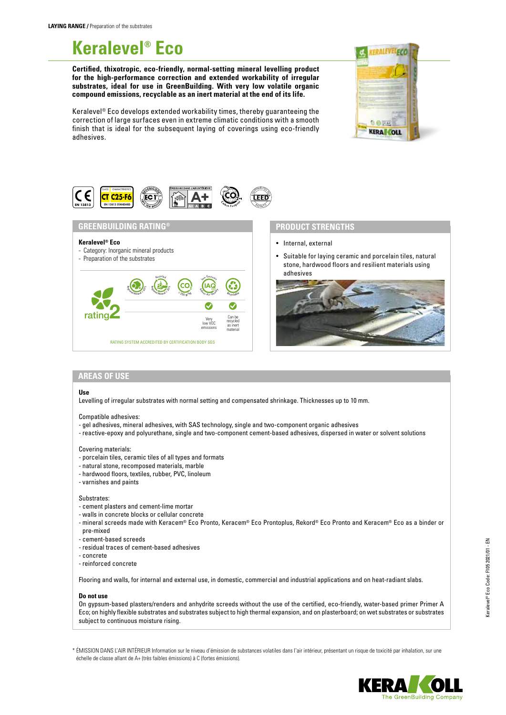# **Keralevel® Eco**

**Certified, thixotropic, eco-friendly, normal-setting mineral levelling product for the high-performance correction and extended workability of irregular substrates, ideal for use in GreenBuilding. With very low volatile organic compound emissions, recyclable as an inert material at the end of its life.**

Keralevel® Eco develops extended workability times, thereby guaranteeing the correction of large surfaces even in extreme climatic conditions with a smooth finish that is ideal for the subsequent laying of coverings using eco-friendly adhesives.





## **GREENBUILDING RATING®**

## **Keralevel® Eco**

- Category: Inorganic mineral products

## - Preparation of the substrates



## **PRODUCT STRENGTHS**

- Internal, external
- Suitable for laying ceramic and porcelain tiles, natural stone, hardwood floors and resilient materials using adhesives



## **AREAS OF USE**

#### **Use**

Levelling of irregular substrates with normal setting and compensated shrinkage. Thicknesses up to 10 mm.

#### Compatible adhesives:

- gel adhesives, mineral adhesives, with SAS technology, single and two-component organic adhesives
- reactive-epoxy and polyurethane, single and two-component cement-based adhesives, dispersed in water or solvent solutions

## Covering materials:

- porcelain tiles, ceramic tiles of all types and formats
- natural stone, recomposed materials, marble
- hardwood floors, textiles, rubber, PVC, linoleum
- varnishes and paints

## Substrates:

- cement plasters and cement-lime mortar
- walls in concrete blocks or cellular concrete
- mineral screeds made with Keracem® Eco Pronto, Keracem® Eco Prontoplus, Rekord® Eco Pronto and Keracem® Eco as a binder or pre-mixed
- cement-based screeds
- residual traces of cement-based adhesives
- concrete
- reinforced concrete

Flooring and walls, for internal and external use, in domestic, commercial and industrial applications and on heat-radiant slabs.

#### **Do not use**

On gypsum-based plasters/renders and anhydrite screeds without the use of the certified, eco-friendly, water-based primer Primer A Eco; on highly flexible substrates and substrates subject to high thermal expansion, and on plasterboard; on wet substrates or substrates subject to continuous moisture rising.

\* ÉMISSION DANS L'AIR INTÉRIEUR Information sur le niveau d'émission de substances volatiles dans l'air intérieur, présentant un risque de toxicité par inhalation, sur une échelle de classe allant de A+ (très faibles émissions) à C (fortes émissions).

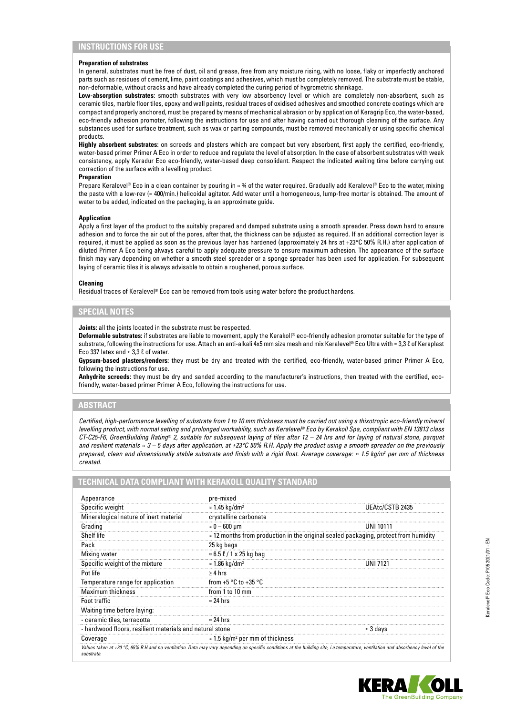## **INSTRUCTIONS FOR USE**

## **Preparation of substrates**

In general, substrates must be free of dust, oil and grease, free from any moisture rising, with no loose, flaky or imperfectly anchored parts such as residues of cement, lime, paint coatings and adhesives, which must be completely removed. The substrate must be stable, non-deformable, without cracks and have already completed the curing period of hygrometric shrinkage.

**Low-absorption substrates:** smooth substrates with very low absorbency level or which are completely non-absorbent, such as ceramic tiles, marble floor tiles, epoxy and wall paints, residual traces of oxidised adhesives and smoothed concrete coatings which are compact and properly anchored, must be prepared by means of mechanical abrasion or by application of Keragrip Eco, the water-based, eco-friendly adhesion promoter, following the instructions for use and after having carried out thorough cleaning of the surface. Any substances used for surface treatment, such as wax or parting compounds, must be removed mechanically or using specific chemical products.

**Highly absorbent substrates:** on screeds and plasters which are compact but very absorbent, first apply the certified, eco-friendly, water-based primer Primer A Eco in order to reduce and regulate the level of absorption. In the case of absorbent substrates with weak consistency, apply Keradur Eco eco-friendly, water-based deep consolidant. Respect the indicated waiting time before carrying out correction of the surface with a levelling product.

#### **Preparation**

Prepare Keralevel® Eco in a clean container by pouring in ≈ ¾ of the water required. Gradually add Keralevel® Eco to the water, mixing the paste with a low-rev (≈ 400/min.) helicoidal agitator. Add water until a homogeneous, lump-free mortar is obtained. The amount of water to be added, indicated on the packaging, is an approximate guide.

## **Application**

Apply a first layer of the product to the suitably prepared and damped substrate using a smooth spreader. Press down hard to ensure adhesion and to force the air out of the pores, after that, the thickness can be adjusted as required. If an additional correction layer is required, it must be applied as soon as the previous layer has hardened (approximately 24 hrs at +23°C 50% R.H.) after application of diluted Primer A Eco being always careful to apply adequate pressure to ensure maximum adhesion. The appearance of the surface finish may vary depending on whether a smooth steel spreader or a sponge spreader has been used for application. For subsequent laying of ceramic tiles it is always advisable to obtain a roughened, porous surface.

## **Cleaning**

Residual traces of Keralevel® Eco can be removed from tools using water before the product hardens.

## **SPECIAL NOTES**

**Joints:** all the joints located in the substrate must be respected.

**Deformable substrates:** if substrates are liable to movement, apply the Kerakoll® eco-friendly adhesion promoter suitable for the type of substrate, following the instructions for use. Attach an anti-alkali 4x5 mm size mesh and mix Keralevel® Eco Ultra with ≈ 3,3 ℓ of Keraplast Eco 337 latex and  $\approx$  3,3  $\ell$  of water.

**Gypsum-based plasters/renders:** they must be dry and treated with the certified, eco-friendly, water-based primer Primer A Eco, following the instructions for use.

**Anhydrite screeds:** they must be dry and sanded according to the manufacturer's instructions, then treated with the certified, ecofriendly, water-based primer Primer A Eco, following the instructions for use.

## **ABSTRACT**

*Certified, high-performance levelling of substrate from 1 to 10 mm thickness must be carried out using a thixotropic eco-friendly mineral levelling product, with normal setting and prolonged workability, such as Keralevel® Eco by Kerakoll Spa, compliant with EN 13813 class CT-C25-F6, GreenBuilding Rating® 2, suitable for subsequent laying of tiles after 12 – 24 hrs and for laying of natural stone, parquet and resilient materials ≈ 3 – 5 days after application, at +23°C 50% R.H. Apply the product using a smooth spreader on the previously prepared, clean and dimensionally stable substrate and finish with a rigid float. Average coverage: ≈ 1.5 kg/m2 per mm of thickness created.*

# **TECHNICAL DATA COMPLIANT WITH KERAKOLL QUALITY STANDARD**

| Appearance                                               | pre-mixed                                                                                   |                  |
|----------------------------------------------------------|---------------------------------------------------------------------------------------------|------------------|
| Specific weight                                          | $\approx$ 1.45 kg/dm <sup>3</sup>                                                           | UEAtc/CSTB 2435  |
| Mineralogical nature of inert material                   | crystalline carbonate                                                                       |                  |
| Grading                                                  | $\approx 0-600$ µm                                                                          | UNI 10111        |
| Shelf life                                               | $\approx$ 12 months from production in the original sealed packaging, protect from humidity |                  |
| Pack                                                     | 25 kg bags                                                                                  |                  |
| Mixing water                                             | $\approx 6.5 \ell / 1 \times 25$ kg bag                                                     |                  |
| Specific weight of the mixture                           | $\approx$ 1.86 kg/dm <sup>3</sup>                                                           | <b>UNI 7121</b>  |
| Pot life                                                 | $\geq 4$ hrs                                                                                |                  |
| Temperature range for application                        | from +5 $\degree$ C to +35 $\degree$ C                                                      |                  |
| <b>Maximum thickness</b>                                 | from 1 to 10 mm                                                                             |                  |
| Foot traffic                                             | $\approx$ 24 hrs                                                                            |                  |
| Waiting time before laying:                              |                                                                                             |                  |
| - ceramic tiles, terracotta                              | $\approx$ 24 hrs                                                                            |                  |
| - hardwood floors, resilient materials and natural stone |                                                                                             | $\approx$ 3 days |
| Coverage                                                 | $\approx$ 1.5 kg/m <sup>2</sup> per mm of thickness                                         |                  |